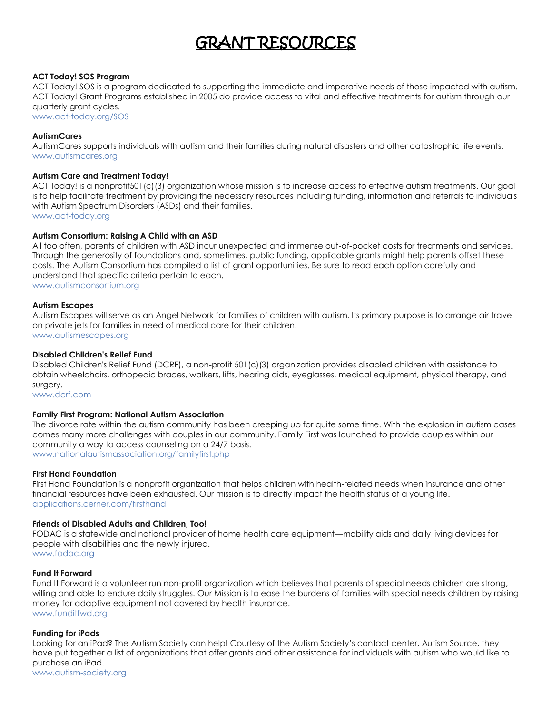# GRANT RESOURCES

# **ACT Today! SOS Program**

ACT Today! SOS is a program dedicated to supporting the immediate and imperative needs of those impacted with autism. ACT Today! Grant Programs established in 2005 do provide access to vital and effective treatments for autism through our quarterly grant cycles.

[www.act-today.org/SOS](http://www.act-today.org/SOS)

# **AutismCares**

AutismCares supports individuals with autism and their families during natural disasters and other catastrophic life events. [www.autismcares.org](http://www.autismcares.org/)

## **Autism Care and Treatment Today!**

ACT Today! is a nonprofit501(c)(3) organization whose mission is to increase access to effective autism treatments. Our goal is to help facilitate treatment by providing the necessary resources including funding, information and referrals to individuals with Autism Spectrum Disorders (ASDs) and their families.

[www.act-today.org](http://www.act-today.org/)

## **Autism Consortium: Raising A Child with an ASD**

All too often, parents of children with ASD incur unexpected and immense out-of-pocket costs for treatments and services. Through the generosity of foundations and, sometimes, public funding, applicable grants might help parents offset these costs. The Autism Consortium has compiled a list of grant opportunities. Be sure to read each option carefully and understand that specific criteria pertain to each. [www.autismconsortium.org](http://www.autismconsortium.org/families/raising-a-child-with-asd/#grants)

## **Autism Escapes**

Autism Escapes will serve as an Angel Network for families of children with autism. Its primary purpose is to arrange air travel on private jets for families in need of medical care for their children. [www.autismescapes.org](http://www.autismescapes.org/)

## **Disabled Children's Relief Fund**

Disabled Children's Relief Fund (DCRF), a non-profit 501(c)(3) organization provides disabled children with assistance to obtain wheelchairs, orthopedic braces, walkers, lifts, hearing aids, eyeglasses, medical equipment, physical therapy, and surgery.

[www.dcrf.com](http://www.dcrf.com/)

## **Family First Program: National Autism Association**

The divorce rate within the autism community has been creeping up for quite some time. With the explosion in autism cases comes many more challenges with couples in our community. Family First was launched to provide couples within our community a way to access counseling on a 24/7 basis. [www.nationalautismassociation.org/familyfirst.php](http://www.nationalautismassociation.org/familyfirst.php)

## **First Hand Foundation**

First Hand Foundation is a nonprofit organization that helps children with health-related needs when insurance and other financial resources have been exhausted. Our mission is to directly impact the health status of a young life. [applications.cerner.com/firsthand](http://applications.cerner.com/firsthand/)

## **Friends of Disabled Adults and Children, Too!**

FODAC is a statewide and national provider of home health care equipment—mobility aids and daily living devices for people with disabilities and the newly injured.

[www.fodac.org](http://www.fodac.org/)

# **Fund It Forward**

Fund It Forward is a volunteer run non-profit organization which believes that parents of special needs children are strong, willing and able to endure daily struggles. Our Mission is to ease the burdens of families with special needs children by raising money for adaptive equipment not covered by health insurance. [www.funditfwd.org](http://www.funditfwd.org/)

## **Funding for iPads**

Looking for an iPad? The Autism Society can help! Courtesy of the Autism Society's contact center, Autism Source, they have put together a list of organizations that offer grants and other assistance for individuals with autism who would like to purchase an iPad.

[www.autism-society.org](http://www.autism-society.org/news/funding-for-ipads.html)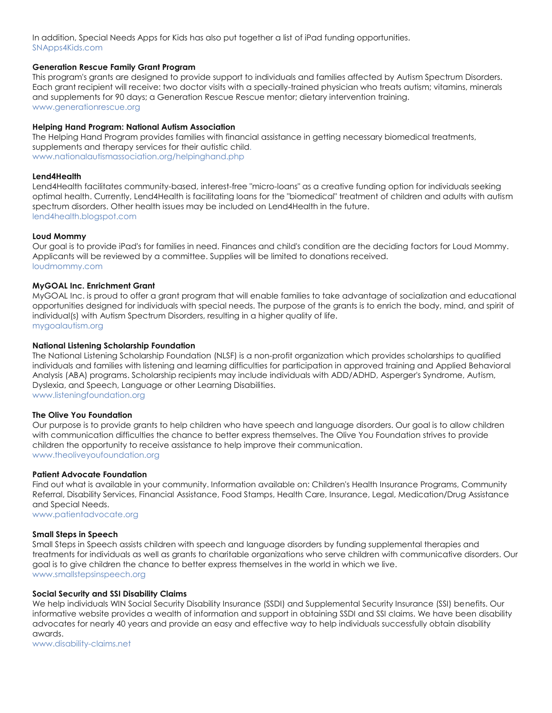In addition, Special Needs Apps for Kids has also put together a list of iPad funding opportunities. [SNApps4Kids.com](http://www.snapps4kids.com/funding-sources-directory/)

# **Generation Rescue Family Grant Program**

This program's grants are designed to provide support to individuals and families affected by Autism Spectrum Disorders. Each grant recipient will receive: two doctor visits with a specially-trained physician who treats autism; vitamins, minerals and supplements for 90 days; a Generation Rescue Rescue mentor; dietary intervention training. [www.generationrescue.org](http://www.generationrescue.org/)

# **Helping Hand Program: National Autism Association**

The Helping Hand Program provides families with financial assistance in getting necessary biomedical treatments, supplements and therapy services for their autistic chil[d.](http://www.nationalautismassociation.org/helpinghand.php) [www.nationalautismassociation.org/helpinghand.php](http://www.nationalautismassociation.org/helpinghand.php)

## **Lend4Health**

Lend4Health facilitates community-based, interest-free "micro-loans" as a creative funding option for individuals seeking optimal health. Currently, Lend4Health is facilitating loans for the "biomedical" treatment of children and adults with autism spectrum disorders. Other health issues may be included on Lend4Health in the future. [lend4health.blogspot.com](http://lend4health.blogspot.com/)

## **Loud Mommy**

Our goal is to provide iPad's for families in need. Finances and child's condition are the deciding factors for Loud Mommy. Applicants will be reviewed by a committee. Supplies will be limited to donations received. [loudmommy.com](http://loudmommy.com/)

## **MyGOAL Inc. Enrichment Grant**

MyGOAL Inc. is proud to offer a grant program that will enable families to take advantage of socialization and educational opportunities designed for individuals with special needs. The purpose of the grants is to enrich the body, mind, and spirit of individual(s) with Autism Spectrum Disorders, resulting in a higher quality of life. [mygoalautism.org](http://mygoalautism.org/grantsandprograms/index.htm)

# **National Listening Scholarship Foundation**

The National Listening Scholarship Foundation (NLSF) is a non-profit organization which provides scholarships to qualified individuals and families with listening and learning difficulties for participation in approved training and Applied Behavioral Analysis (ABA) programs. Scholarship recipients may include individuals with ADD/ADHD, Asperger's Syndrome, Autism, Dyslexia, and Speech, Language or other Learning Disabilities. [www.listeningfoundation.org](http://www.listeningfoundation.org/)

**The Olive You Foundation**

Our purpose is to provide grants to help children who have speech and language disorders. Our goal is to allow children with communication difficulties the chance to better express themselves. The Olive You Foundation strives to provide children the opportunity to receive assistance to help improve their communication. [www.theoliveyoufoundation.org](http://www.theoliveyoufoundation.org/)

## **Patient Advocate Foundation**

Find out what is available in your community. Information available on: Children's Health Insurance Programs, Community Referral, Disability Services, Financial Assistance, Food Stamps, Health Care, Insurance, Legal, Medication/Drug Assistance and Special Needs.

[www.patientadvocate.org](http://www.patientadvocate.org/)

## **Small Steps in Speech**

Small Steps in Speech assists children with speech and language disorders by funding supplemental therapies and treatments for individuals as well as grants to charitable organizations who serve children with communicative disorders. Our goal is to give children the chance to better express themselves in the world in which we live. [www.smallstepsinspeech.org](http://www.smallstepsinspeech.org/)

## **Social Security and SSI Disability Claims**

We help individuals WIN Social Security Disability Insurance (SSDI) and Supplemental Security Insurance (SSI) benefits. Our informative website provides a wealth of information and support in obtaining SSDI and SSI claims. We have been disability advocates for nearly 40 years and provide an easy and effective way to help individuals successfully obtain disability awards.

[www.disability-claims.net](http://www.disability-claims.net/)